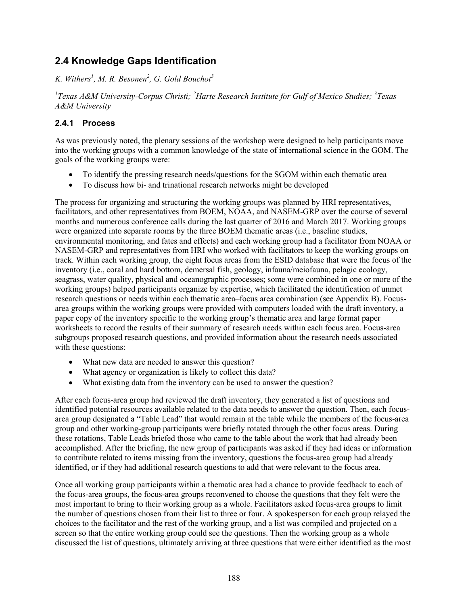# **2.4 Knowledge Gaps Identification**

*K. Withers<sup>1</sup> , M. R. Besonen2 , G. Gold Bouchot<sup>3</sup>*

*1 Texas A&M University-Corpus Christi; <sup>2</sup> Harte Research Institute for Gulf of Mexico Studies; <sup>3</sup> Texas A&M University* 

## **2.4.1 Process**

As was previously noted, the plenary sessions of the workshop were designed to help participants move into the working groups with a common knowledge of the state of international science in the GOM. The goals of the working groups were:

- To identify the pressing research needs/questions for the SGOM within each thematic area
- To discuss how bi- and trinational research networks might be developed

The process for organizing and structuring the working groups was planned by HRI representatives, facilitators, and other representatives from BOEM, NOAA, and NASEM-GRP over the course of several months and numerous conference calls during the last quarter of 2016 and March 2017. Working groups were organized into separate rooms by the three BOEM thematic areas (i.e., baseline studies, environmental monitoring, and fates and effects) and each working group had a facilitator from NOAA or NASEM-GRP and representatives from HRI who worked with facilitators to keep the working groups on track. Within each working group, the eight focus areas from the ESID database that were the focus of the inventory (i.e., coral and hard bottom, demersal fish, geology, infauna/meiofauna, pelagic ecology, seagrass, water quality, physical and oceanographic processes; some were combined in one or more of the working groups) helped participants organize by expertise, which facilitated the identification of unmet research questions or needs within each thematic area–focus area combination (see Appendix B). Focusarea groups within the working groups were provided with computers loaded with the draft inventory, a paper copy of the inventory specific to the working group's thematic area and large format paper worksheets to record the results of their summary of research needs within each focus area. Focus-area subgroups proposed research questions, and provided information about the research needs associated with these questions:

- What new data are needed to answer this question?
- What agency or organization is likely to collect this data?
- What existing data from the inventory can be used to answer the question?

After each focus-area group had reviewed the draft inventory, they generated a list of questions and identified potential resources available related to the data needs to answer the question. Then, each focusarea group designated a "Table Lead" that would remain at the table while the members of the focus-area group and other working-group participants were briefly rotated through the other focus areas. During these rotations, Table Leads briefed those who came to the table about the work that had already been accomplished. After the briefing, the new group of participants was asked if they had ideas or information to contribute related to items missing from the inventory, questions the focus-area group had already identified, or if they had additional research questions to add that were relevant to the focus area.

Once all working group participants within a thematic area had a chance to provide feedback to each of the focus-area groups, the focus-area groups reconvened to choose the questions that they felt were the most important to bring to their working group as a whole. Facilitators asked focus-area groups to limit the number of questions chosen from their list to three or four. A spokesperson for each group relayed the choices to the facilitator and the rest of the working group, and a list was compiled and projected on a screen so that the entire working group could see the questions. Then the working group as a whole discussed the list of questions, ultimately arriving at three questions that were either identified as the most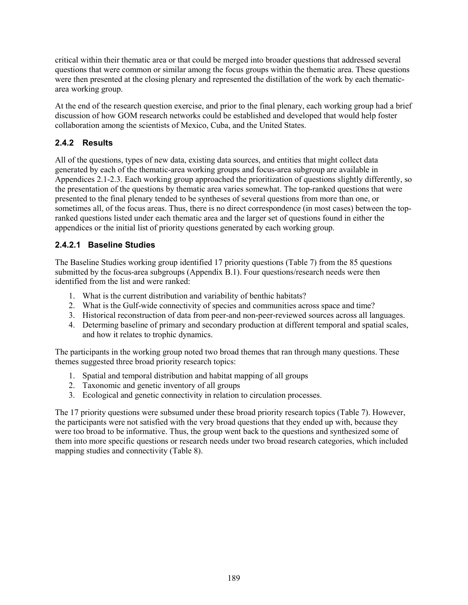critical within their thematic area or that could be merged into broader questions that addressed several questions that were common or similar among the focus groups within the thematic area. These questions were then presented at the closing plenary and represented the distillation of the work by each thematicarea working group.

At the end of the research question exercise, and prior to the final plenary, each working group had a brief discussion of how GOM research networks could be established and developed that would help foster collaboration among the scientists of Mexico, Cuba, and the United States.

## **2.4.2 Results**

All of the questions, types of new data, existing data sources, and entities that might collect data generated by each of the thematic-area working groups and focus-area subgroup are available in Appendices 2.1-2.3. Each working group approached the prioritization of questions slightly differently, so the presentation of the questions by thematic area varies somewhat. The top-ranked questions that were presented to the final plenary tended to be syntheses of several questions from more than one, or sometimes all, of the focus areas. Thus, there is no direct correspondence (in most cases) between the topranked questions listed under each thematic area and the larger set of questions found in either the appendices or the initial list of priority questions generated by each working group.

## **2.4.2.1 Baseline Studies**

The Baseline Studies working group identified 17 priority questions (Table 7) from the 85 questions submitted by the focus-area subgroups (Appendix B.1). Four questions/research needs were then identified from the list and were ranked:

- 1. What is the current distribution and variability of benthic habitats?
- 2. What is the Gulf-wide connectivity of species and communities across space and time?
- 3. Historical reconstruction of data from peer-and non-peer-reviewed sources across all languages.
- 4. Determing baseline of primary and secondary production at different temporal and spatial scales, and how it relates to trophic dynamics.

The participants in the working group noted two broad themes that ran through many questions. These themes suggested three broad priority research topics:

- 1. Spatial and temporal distribution and habitat mapping of all groups
- 2. Taxonomic and genetic inventory of all groups
- 3. Ecological and genetic connectivity in relation to circulation processes.

The 17 priority questions were subsumed under these broad priority research topics (Table 7). However, the participants were not satisfied with the very broad questions that they ended up with, because they were too broad to be informative. Thus, the group went back to the questions and synthesized some of them into more specific questions or research needs under two broad research categories, which included mapping studies and connectivity (Table 8).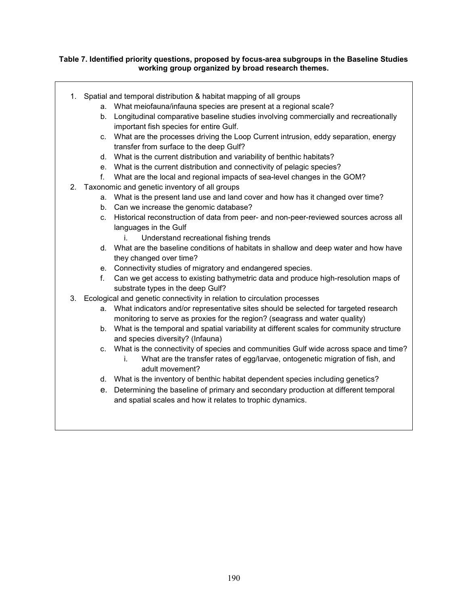### **Table 7. Identified priority questions, proposed by focus-area subgroups in the Baseline Studies working group organized by broad research themes.**

- 1. Spatial and temporal distribution & habitat mapping of all groups
	- a. What meiofauna/infauna species are present at a regional scale?
	- b. Longitudinal comparative baseline studies involving commercially and recreationally important fish species for entire Gulf.
	- c. What are the processes driving the Loop Current intrusion, eddy separation, energy transfer from surface to the deep Gulf?
	- d. What is the current distribution and variability of benthic habitats?
	- e. What is the current distribution and connectivity of pelagic species?
	- f. What are the local and regional impacts of sea-level changes in the GOM?
- 2. Taxonomic and genetic inventory of all groups
	- a. What is the present land use and land cover and how has it changed over time?
	- b. Can we increase the genomic database?
	- c. Historical reconstruction of data from peer- and non-peer-reviewed sources across all languages in the Gulf
		- i. Understand recreational fishing trends
	- d. What are the baseline conditions of habitats in shallow and deep water and how have they changed over time?
	- e. Connectivity studies of migratory and endangered species.
	- f. Can we get access to existing bathymetric data and produce high-resolution maps of substrate types in the deep Gulf?
- 3. Ecological and genetic connectivity in relation to circulation processes
	- a. What indicators and/or representative sites should be selected for targeted research monitoring to serve as proxies for the region? (seagrass and water quality)
	- b. What is the temporal and spatial variability at different scales for community structure and species diversity? (Infauna)
	- c. What is the connectivity of species and communities Gulf wide across space and time?
		- i. What are the transfer rates of egg/larvae, ontogenetic migration of fish, and adult movement?
	- d. What is the inventory of benthic habitat dependent species including genetics?
	- e. Determining the baseline of primary and secondary production at different temporal and spatial scales and how it relates to trophic dynamics.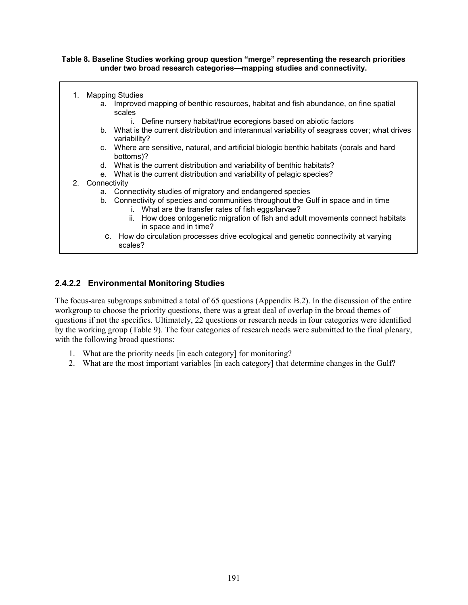### **Table 8. Baseline Studies working group question "merge" representing the research priorities under two broad research categories—mapping studies and connectivity.**

| 1.              | <b>Mapping Studies</b>                                                                                                                     |
|-----------------|--------------------------------------------------------------------------------------------------------------------------------------------|
|                 | a. Improved mapping of benthic resources, habitat and fish abundance, on fine spatial<br>scales                                            |
|                 | Define nursery habitat/true ecoregions based on abiotic factors                                                                            |
|                 | b. What is the current distribution and interannual variability of seagrass cover; what drives<br>variability?                             |
|                 | c. Where are sensitive, natural, and artificial biologic benthic habitats (corals and hard<br>bottoms)?                                    |
|                 | d. What is the current distribution and variability of benthic habitats?                                                                   |
|                 | e. What is the current distribution and variability of pelagic species?                                                                    |
| 2. Connectivity |                                                                                                                                            |
|                 | a. Connectivity studies of migratory and endangered species                                                                                |
|                 | b. Connectivity of species and communities throughout the Gulf in space and in time<br>i. What are the transfer rates of fish eggs/larvae? |
|                 | ii. How does ontogenetic migration of fish and adult movements connect habitats<br>in space and in time?                                   |
|                 | c. How do circulation processes drive ecological and genetic connectivity at varying<br>scales?                                            |

## **2.4.2.2 Environmental Monitoring Studies**

The focus-area subgroups submitted a total of 65 questions (Appendix B.2). In the discussion of the entire workgroup to choose the priority questions, there was a great deal of overlap in the broad themes of questions if not the specifics. Ultimately, 22 questions or research needs in four categories were identified by the working group (Table 9). The four categories of research needs were submitted to the final plenary, with the following broad questions:

- 1. What are the priority needs [in each category] for monitoring?
- 2. What are the most important variables [in each category] that determine changes in the Gulf?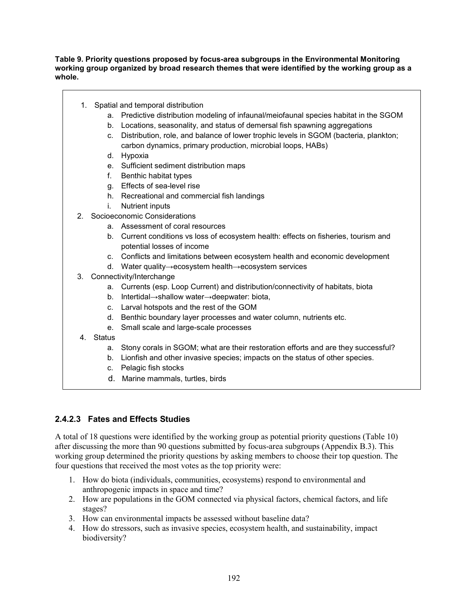### **Table 9. Priority questions proposed by focus-area subgroups in the Environmental Monitoring working group organized by broad research themes that were identified by the working group as a whole.**

- 1. Spatial and temporal distribution
	- a. Predictive distribution modeling of infaunal/meiofaunal species habitat in the SGOM
	- b. Locations, seasonality, and status of demersal fish spawning aggregations
	- c. Distribution, role, and balance of lower trophic levels in SGOM (bacteria, plankton; carbon dynamics, primary production, microbial loops, HABs)
	- d. Hypoxia
	- e. Sufficient sediment distribution maps
	- f. Benthic habitat types
	- g. Effects of sea-level rise
	- h. Recreational and commercial fish landings
	- i. Nutrient inputs
- 2. Socioeconomic Considerations
	- a. Assessment of coral resources
	- b. Current conditions vs loss of ecosystem health: effects on fisheries, tourism and potential losses of income
	- c. Conflicts and limitations between ecosystem health and economic development
	- d. Water quality→ecosystem health→ecosystem services
- 3. Connectivity/Interchange
	- a. Currents (esp. Loop Current) and distribution/connectivity of habitats, biota
	- b. Intertidal→shallow water→deepwater: biota,
	- c. Larval hotspots and the rest of the GOM
	- d. Benthic boundary layer processes and water column, nutrients etc.
	- e. Small scale and large-scale processes
- 4. Status
	- a. Stony corals in SGOM; what are their restoration efforts and are they successful?
	- b. Lionfish and other invasive species; impacts on the status of other species.
	- c. Pelagic fish stocks
	- d. Marine mammals, turtles, birds

## **2.4.2.3 Fates and Effects Studies**

A total of 18 questions were identified by the working group as potential priority questions (Table 10) after discussing the more than 90 questions submitted by focus-area subgroups (Appendix B.3). This working group determined the priority questions by asking members to choose their top question. The four questions that received the most votes as the top priority were:

- 1. How do biota (individuals, communities, ecosystems) respond to environmental and anthropogenic impacts in space and time?
- 2. How are populations in the GOM connected via physical factors, chemical factors, and life stages?
- 3. How can environmental impacts be assessed without baseline data?
- 4. How do stressors, such as invasive species, ecosystem health, and sustainability, impact biodiversity?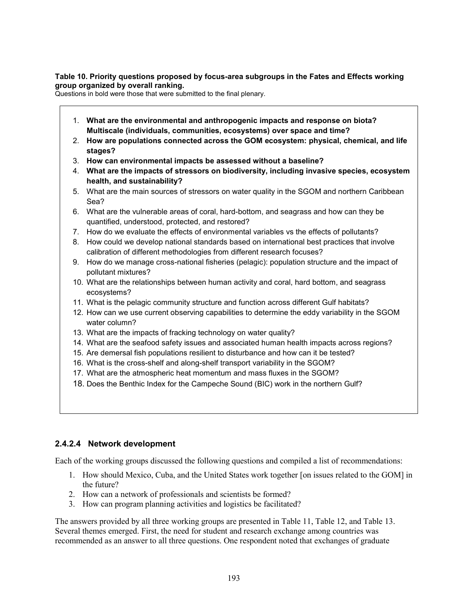### **Table 10. Priority questions proposed by focus-area subgroups in the Fates and Effects working group organized by overall ranking.**

Questions in bold were those that were submitted to the final plenary.

- 1. **What are the environmental and anthropogenic impacts and response on biota? Multiscale (individuals, communities, ecosystems) over space and time?**
- 2. **How are populations connected across the GOM ecosystem: physical, chemical, and life stages?**
- 3. **How can environmental impacts be assessed without a baseline?**
- 4. **What are the impacts of stressors on biodiversity, including invasive species, ecosystem health, and sustainability?**
- 5. What are the main sources of stressors on water quality in the SGOM and northern Caribbean Sea?
- 6. What are the vulnerable areas of coral, hard-bottom, and seagrass and how can they be quantified, understood, protected, and restored?
- 7. How do we evaluate the effects of environmental variables vs the effects of pollutants?
- 8. How could we develop national standards based on international best practices that involve calibration of different methodologies from different research focuses?
- 9. How do we manage cross-national fisheries (pelagic): population structure and the impact of pollutant mixtures?
- 10. What are the relationships between human activity and coral, hard bottom, and seagrass ecosystems?
- 11. What is the pelagic community structure and function across different Gulf habitats?
- 12. How can we use current observing capabilities to determine the eddy variability in the SGOM water column?
- 13. What are the impacts of fracking technology on water quality?
- 14. What are the seafood safety issues and associated human health impacts across regions?
- 15. Are demersal fish populations resilient to disturbance and how can it be tested?
- 16. What is the cross-shelf and along-shelf transport variability in the SGOM?
- 17. What are the atmospheric heat momentum and mass fluxes in the SGOM?
- 18. Does the Benthic Index for the Campeche Sound (BIC) work in the northern Gulf?

### **2.4.2.4 Network development**

Each of the working groups discussed the following questions and compiled a list of recommendations:

- 1. How should Mexico, Cuba, and the United States work together [on issues related to the GOM] in the future?
- 2. How can a network of professionals and scientists be formed?
- 3. How can program planning activities and logistics be facilitated?

The answers provided by all three working groups are presented in Table 11, Table 12, and Table 13. Several themes emerged. First, the need for student and research exchange among countries was recommended as an answer to all three questions. One respondent noted that exchanges of graduate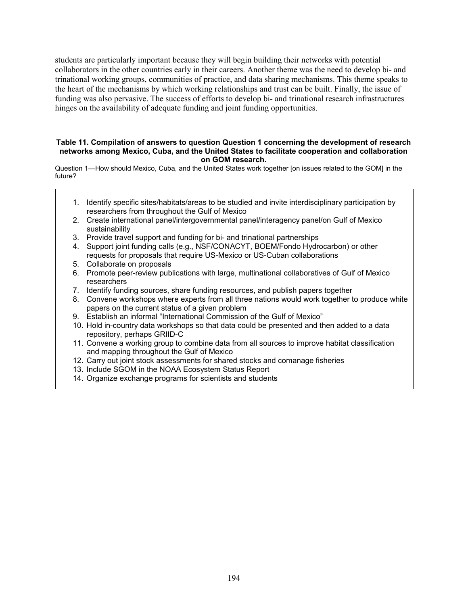students are particularly important because they will begin building their networks with potential collaborators in the other countries early in their careers. Another theme was the need to develop bi- and trinational working groups, communities of practice, and data sharing mechanisms. This theme speaks to the heart of the mechanisms by which working relationships and trust can be built. Finally, the issue of funding was also pervasive. The success of efforts to develop bi- and trinational research infrastructures hinges on the availability of adequate funding and joint funding opportunities.

#### **Table 11. Compilation of answers to question Question 1 concerning the development of research networks among Mexico, Cuba, and the United States to facilitate cooperation and collaboration on GOM research.**

Question 1—How should Mexico, Cuba, and the United States work together [on issues related to the GOM] in the future?

- 1. Identify specific sites/habitats/areas to be studied and invite interdisciplinary participation by researchers from throughout the Gulf of Mexico
- 2. Create international panel/intergovernmental panel/interagency panel/on Gulf of Mexico sustainability
- 3. Provide travel support and funding for bi- and trinational partnerships
- 4. Support joint funding calls (e.g., NSF/CONACYT, BOEM/Fondo Hydrocarbon) or other requests for proposals that require US-Mexico or US-Cuban collaborations
- 5. Collaborate on proposals
- 6. Promote peer-review publications with large, multinational collaboratives of Gulf of Mexico researchers
- 7. Identify funding sources, share funding resources, and publish papers together
- 8. Convene workshops where experts from all three nations would work together to produce white papers on the current status of a given problem
- 9. Establish an informal "International Commission of the Gulf of Mexico"
- 10. Hold in-country data workshops so that data could be presented and then added to a data repository, perhaps GRIID-C
- 11. Convene a working group to combine data from all sources to improve habitat classification and mapping throughout the Gulf of Mexico
- 12. Carry out joint stock assessments for shared stocks and comanage fisheries
- 13. Include SGOM in the NOAA Ecosystem Status Report
- 14. Organize exchange programs for scientists and students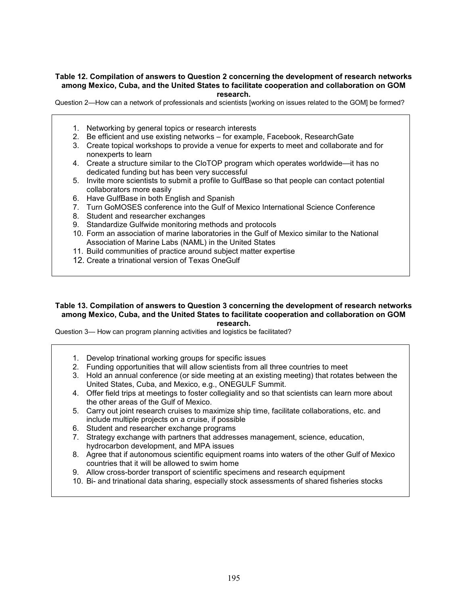#### **Table 12. Compilation of answers to Question 2 concerning the development of research networks among Mexico, Cuba, and the United States to facilitate cooperation and collaboration on GOM research.**

Question 2—How can a network of professionals and scientists [working on issues related to the GOM] be formed?

- 1. Networking by general topics or research interests
- 2. Be efficient and use existing networks for example, Facebook, ResearchGate
- 3. Create topical workshops to provide a venue for experts to meet and collaborate and for nonexperts to learn
- 4. Create a structure similar to the CloTOP program which operates worldwide—it has no dedicated funding but has been very successful
- 5. Invite more scientists to submit a profile to GulfBase so that people can contact potential collaborators more easily
- 6. Have GulfBase in both English and Spanish
- 7. Turn GoMOSES conference into the Gulf of Mexico International Science Conference
- 8. Student and researcher exchanges
- 9. Standardize Gulfwide monitoring methods and protocols
- 10. Form an association of marine laboratories in the Gulf of Mexico similar to the National Association of Marine Labs (NAML) in the United States
- 11. Build communities of practice around subject matter expertise
- 12. Create a trinational version of Texas OneGulf

#### **Table 13. Compilation of answers to Question 3 concerning the development of research networks among Mexico, Cuba, and the United States to facilitate cooperation and collaboration on GOM research.**

Question 3— How can program planning activities and logistics be facilitated?

- 1. Develop trinational working groups for specific issues
- 2. Funding opportunities that will allow scientists from all three countries to meet
- 3. Hold an annual conference (or side meeting at an existing meeting) that rotates between the United States, Cuba, and Mexico, e.g., ONEGULF Summit.
- 4. Offer field trips at meetings to foster collegiality and so that scientists can learn more about the other areas of the Gulf of Mexico.
- 5. Carry out joint research cruises to maximize ship time, facilitate collaborations, etc. and include multiple projects on a cruise, if possible
- 6. Student and researcher exchange programs
- 7. Strategy exchange with partners that addresses management, science, education, hydrocarbon development, and MPA issues
- 8. Agree that if autonomous scientific equipment roams into waters of the other Gulf of Mexico countries that it will be allowed to swim home
- 9. Allow cross-border transport of scientific specimens and research equipment
- 10. Bi- and trinational data sharing, especially stock assessments of shared fisheries stocks